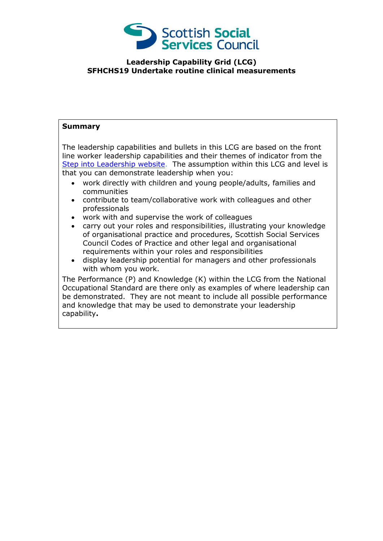

## **Leadership Capability Grid (LCG) SFHCHS19 Undertake routine clinical measurements**

## **Summary**

The leadership capabilities and bullets in this LCG are based on the front line worker leadership capabilities and their themes of indicator from the [Step into Leadership](http://www.stepintoleadership.info/) website. The assumption within this LCG and level is that you can demonstrate leadership when you:

- work directly with children and young people/adults, families and communities
- contribute to team/collaborative work with colleagues and other professionals
- work with and supervise the work of colleagues
- carry out your roles and responsibilities, illustrating your knowledge of organisational practice and procedures, Scottish Social Services Council Codes of Practice and other legal and organisational requirements within your roles and responsibilities
- display leadership potential for managers and other professionals with whom you work.

The Performance (P) and Knowledge (K) within the LCG from the National Occupational Standard are there only as examples of where leadership can be demonstrated. They are not meant to include all possible performance and knowledge that may be used to demonstrate your leadership capability**.**